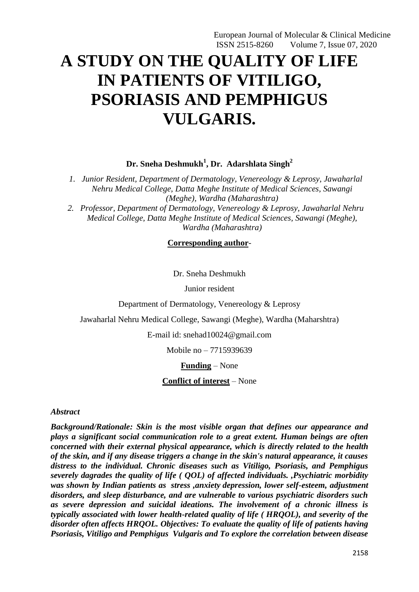# **A STUDY ON THE QUALITY OF LIFE IN PATIENTS OF VITILIGO, PSORIASIS AND PEMPHIGUS VULGARIS.**

**Dr. Sneha Deshmukh<sup>1</sup> , Dr. Adarshlata Singh<sup>2</sup>**

*1. Junior Resident, Department of Dermatology, Venereology & Leprosy, Jawaharlal Nehru Medical College, Datta Meghe Institute of Medical Sciences, Sawangi (Meghe), Wardha (Maharashtra)*

*2. Professor, Department of Dermatology, Venereology & Leprosy, Jawaharlal Nehru Medical College, Datta Meghe Institute of Medical Sciences, Sawangi (Meghe), Wardha (Maharashtra)*

**Corresponding author**-

Dr. Sneha Deshmukh

Junior resident

Department of Dermatology, Venereology & Leprosy

Jawaharlal Nehru Medical College, Sawangi (Meghe), Wardha (Maharshtra)

E-mail id: snehad10024@gmail.com

Mobile no – 7715939639

**Funding** – None

**Conflict of interest** – None

#### *Abstract*

*Background/Rationale: Skin is the most visible organ that defines our appearance and plays a significant social communication role to a great extent. Human beings are often concerned with their external physical appearance, which is directly related to the health of the skin, and if any disease triggers a change in the skin's natural appearance, it causes distress to the individual. Chronic diseases such as Vitiligo, Psoriasis, and Pemphigus severely dagrades the quality of life ( QOL) of affected individuals. ,Psychiatric morbidity was shown by Indian patients as stress ,anxiety depression, lower self-esteem, adjustment disorders, and sleep disturbance, and are vulnerable to various psychiatric disorders such as severe depression and suicidal ideations. The involvement of a chronic illness is typically associated with lower health-related quality of life ( HRQOL), and severity of the disorder often affects HRQOL. Objectives: To evaluate the quality of life of patients having Psoriasis, Vitiligo and Pemphigus Vulgaris and To explore the correlation between disease*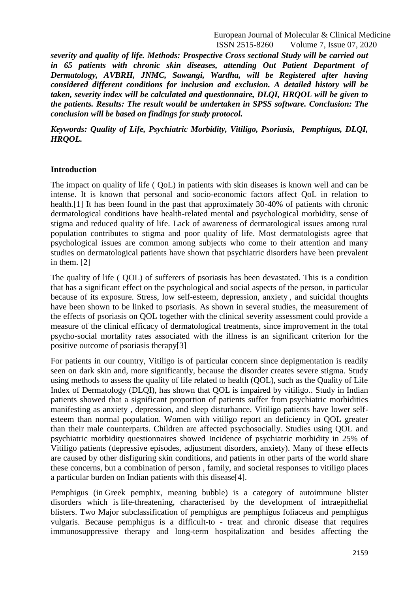*severity and quality of life. Methods: Prospective Cross sectional Study will be carried out in 65 patients with chronic skin diseases, attending Out Patient Department of Dermatology, AVBRH, JNMC, Sawangi, Wardha, will be Registered after having considered different conditions for inclusion and exclusion. A detailed history will be taken, severity index will be calculated and questionnaire, DLQI, HRQOL will be given to the patients. Results: The result would be undertaken in SPSS software. Conclusion: The conclusion will be based on findings for study protocol.*

*Keywords: Quality of Life, Psychiatric Morbidity, Vitiligo, Psoriasis, Pemphigus, DLQI, HRQOL.*

#### **Introduction**

The impact on quality of life ( QoL) in patients with skin diseases is known well and can be intense. It is known that personal and socio-economic factors affect QoL in relation to health.[1] It has been found in the past that approximately 30-40% of patients with chronic dermatological conditions have health-related mental and psychological morbidity, sense of stigma and reduced quality of life. Lack of awareness of dermatological issues among rural population contributes to stigma and poor quality of life. Most dermatologists agree that psychological issues are common among subjects who come to their attention and many studies on dermatological patients have shown that psychiatric disorders have been prevalent in them. [2]

The quality of life ( QOL) of sufferers of psoriasis has been devastated. This is a condition that has a significant effect on the psychological and social aspects of the person, in particular because of its exposure. Stress, low self-esteem, depression, anxiety , and suicidal thoughts have been shown to be linked to psoriasis. As shown in several studies, the measurement of the effects of psoriasis on QOL together with the clinical severity assessment could provide a measure of the clinical efficacy of dermatological treatments, since improvement in the total psycho-social mortality rates associated with the illness is an significant criterion for the positive outcome of psoriasis therapy[3]

For patients in our country, Vitiligo is of particular concern since depigmentation is readily seen on dark skin and, more significantly, because the disorder creates severe stigma. Study using methods to assess the quality of life related to health (QOL), such as the Quality of Life Index of Dermatology (DLQI), has shown that QOL is impaired by vitiligo.. Study in Indian patients showed that a significant proportion of patients suffer from psychiatric morbidities manifesting as anxiety , depression, and sleep disturbance. Vitiligo patients have lower selfesteem than normal population. Women with vitiligo report an deficiency in QOL greater than their male counterparts. Children are affected psychosocially. Studies using QOL and psychiatric morbidity questionnaires showed Incidence of psychiatric morbidity in 25% of Vitiligo patients (depressive episodes, adjustment disorders, anxiety). Many of these effects are caused by other disfiguring skin conditions, and patients in other parts of the world share these concerns, but a combination of person , family, and societal responses to vitiligo places a particular burden on Indian patients with this disease[4].

Pemphigus (in Greek pemphix, meaning bubble) is a category of autoimmune blister disorders which is life-threatening, characterised by the development of intraepithelial blisters. Two Major subclassification of pemphigus are pemphigus foliaceus and pemphigus vulgaris. Because pemphigus is a difficult-to - treat and chronic disease that requires immunosuppressive therapy and long-term hospitalization and besides affecting the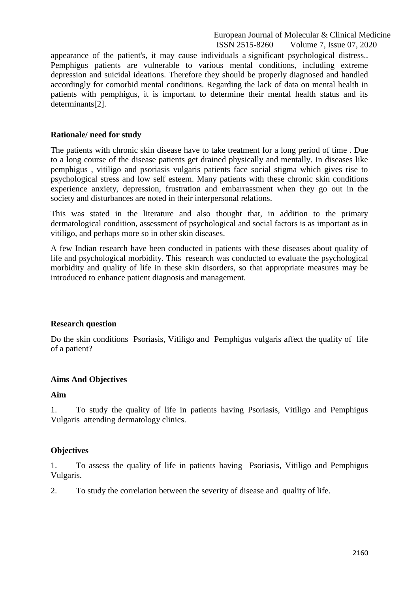appearance of the patient's, it may cause individuals a significant psychological distress.. Pemphigus patients are vulnerable to various mental conditions, including extreme depression and suicidal ideations. Therefore they should be properly diagnosed and handled accordingly for comorbid mental conditions. Regarding the lack of data on mental health in patients with pemphigus, it is important to determine their mental health status and its determinants[2].

## **Rationale/ need for study**

The patients with chronic skin disease have to take treatment for a long period of time . Due to a long course of the disease patients get drained physically and mentally. In diseases like pemphigus , vitiligo and psoriasis vulgaris patients face social stigma which gives rise to psychological stress and low self esteem. Many patients with these chronic skin conditions experience anxiety, depression, frustration and embarrassment when they go out in the society and disturbances are noted in their interpersonal relations.

This was stated in the literature and also thought that, in addition to the primary dermatological condition, assessment of psychological and social factors is as important as in vitiligo, and perhaps more so in other skin diseases.

A few Indian research have been conducted in patients with these diseases about quality of life and psychological morbidity. This research was conducted to evaluate the psychological morbidity and quality of life in these skin disorders, so that appropriate measures may be introduced to enhance patient diagnosis and management.

#### **Research question**

Do the skin conditions Psoriasis, Vitiligo and Pemphigus vulgaris affect the quality of life of a patient?

# **Aims And Objectives**

#### **Aim**

1. To study the quality of life in patients having Psoriasis, Vitiligo and Pemphigus Vulgaris attending dermatology clinics.

#### **Objectives**

1. To assess the quality of life in patients having Psoriasis, Vitiligo and Pemphigus Vulgaris.

2. To study the correlation between the severity of disease and quality of life.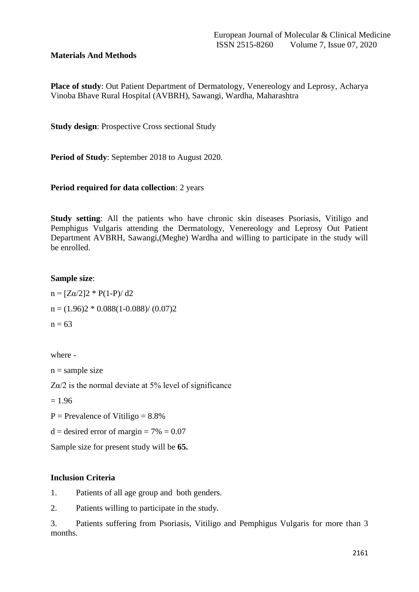# **Materials And Methods**

**Place of study**: Out Patient Department of Dermatology, Venereology and Leprosy, Acharya Vinoba Bhave Rural Hospital (AVBRH), Sawangi, Wardha, Maharashtra

**Study design**: Prospective Cross sectional Study

**Period of Study**: September 2018 to August 2020.

## **Period required for data collection**: 2 years

**Study setting**: All the patients who have chronic skin diseases Psoriasis, Vitiligo and Pemphigus Vulgaris attending the Dermatology, Venereology and Leprosy Out Patient Department AVBRH, Sawangi,(Meghe) Wardha and willing to participate in the study will be enrolled.

## **Sample size**:

 $n = [Z\alpha/2]2 * P(1-P)/d2$  $n = (1.96)2 * 0.088(1 - 0.088) / (0.07)2$  $n = 63$ 

where -

 $n =$ sample size

 $Z\alpha/2$  is the normal deviate at 5% level of significance

 $= 1.96$ 

 $P = Prevalence of Vitiligo = 8.8%$ 

 $d = desired error of margin = 7\% = 0.07$ 

Sample size for present study will be **65.** 

# **Inclusion Criteria**

1. Patients of all age group and both genders.

2. Patients willing to participate in the study.

3. Patients suffering from Psoriasis, Vitiligo and Pemphigus Vulgaris for more than 3 months.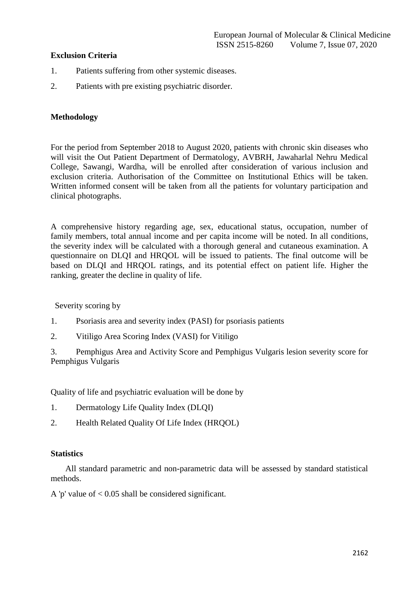# **Exclusion Criteria**

- 1. Patients suffering from other systemic diseases.
- 2. Patients with pre existing psychiatric disorder.

#### **Methodology**

For the period from September 2018 to August 2020, patients with chronic skin diseases who will visit the Out Patient Department of Dermatology, AVBRH, Jawaharlal Nehru Medical College, Sawangi, Wardha, will be enrolled after consideration of various inclusion and exclusion criteria. Authorisation of the Committee on Institutional Ethics will be taken. Written informed consent will be taken from all the patients for voluntary participation and clinical photographs.

A comprehensive history regarding age, sex, educational status, occupation, number of family members, total annual income and per capita income will be noted. In all conditions, the severity index will be calculated with a thorough general and cutaneous examination. A questionnaire on DLQI and HRQOL will be issued to patients. The final outcome will be based on DLQI and HRQOL ratings, and its potential effect on patient life. Higher the ranking, greater the decline in quality of life.

Severity scoring by

- 1. Psoriasis area and severity index (PASI) for psoriasis patients
- 2. Vitiligo Area Scoring Index (VASI) for Vitiligo

3. Pemphigus Area and Activity Score and Pemphigus Vulgaris lesion severity score for Pemphigus Vulgaris

Quality of life and psychiatric evaluation will be done by

- 1. Dermatology Life Quality Index (DLQI)
- 2. Health Related Quality Of Life Index (HROOL)

#### **Statistics**

 All standard parametric and non-parametric data will be assessed by standard statistical methods.

A 'p' value of  $< 0.05$  shall be considered significant.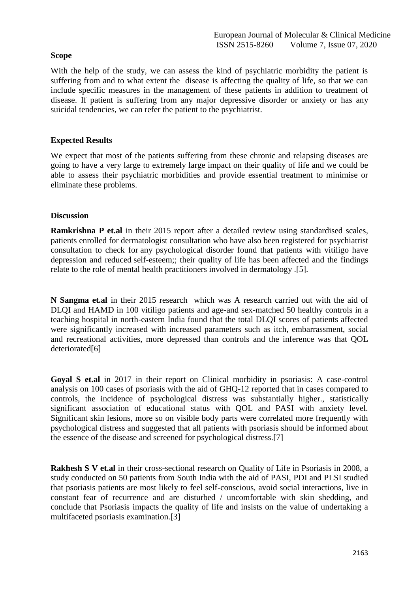# **Scope**

With the help of the study, we can assess the kind of psychiatric morbidity the patient is suffering from and to what extent the disease is affecting the quality of life, so that we can include specific measures in the management of these patients in addition to treatment of disease. If patient is suffering from any major depressive disorder or anxiety or has any suicidal tendencies, we can refer the patient to the psychiatrist.

# **Expected Results**

We expect that most of the patients suffering from these chronic and relapsing diseases are going to have a very large to extremely large impact on their quality of life and we could be able to assess their psychiatric morbidities and provide essential treatment to minimise or eliminate these problems.

## **Discussion**

**Ramkrishna P et.al** in their 2015 report after a detailed review using standardised scales, patients enrolled for dermatologist consultation who have also been registered for psychiatrist consultation to check for any psychological disorder found that patients with vitiligo have depression and reduced self-esteem;; their quality of life has been affected and the findings relate to the role of mental health practitioners involved in dermatology .[5].

**N Sangma et.al** in their 2015 research which was A research carried out with the aid of DLQI and HAMD in 100 vitiligo patients and age-and sex-matched 50 healthy controls in a teaching hospital in north-eastern India found that the total DLQI scores of patients affected were significantly increased with increased parameters such as itch, embarrassment, social and recreational activities, more depressed than controls and the inference was that QOL deteriorated[6]

**Goyal S et.al** in 2017 in their report on Clinical morbidity in psoriasis: A case-control analysis on 100 cases of psoriasis with the aid of GHQ-12 reported that in cases compared to controls, the incidence of psychological distress was substantially higher., statistically significant association of educational status with QOL and PASI with anxiety level. Significant skin lesions, more so on visible body parts were correlated more frequently with psychological distress and suggested that all patients with psoriasis should be informed about the essence of the disease and screened for psychological distress.[7]

**Rakhesh S V et.al** in their cross-sectional research on Quality of Life in Psoriasis in 2008, a study conducted on 50 patients from South India with the aid of PASI, PDI and PLSI studied that psoriasis patients are most likely to feel self-conscious, avoid social interactions, live in constant fear of recurrence and are disturbed / uncomfortable with skin shedding, and conclude that Psoriasis impacts the quality of life and insists on the value of undertaking a multifaceted psoriasis examination.[3]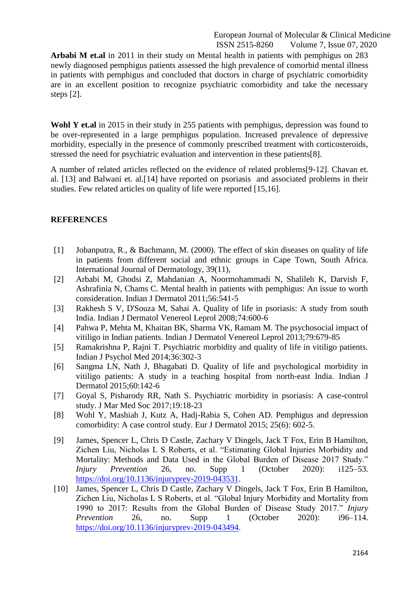**Arbabi M et.al** in 2011 in their study on Mental health in patients with pemphigus on 283 newly diagnosed pemphigus patients assessed the high prevalence of comorbid mental illness in patients with pemphigus and concluded that doctors in charge of psychiatric comorbidity are in an excellent position to recognize psychiatric comorbidity and take the necessary steps [2].

**Wohl Y et.al** in 2015 in their study in 255 patients with pemphigus, depression was found to be over-represented in a large pemphigus population. Increased prevalence of depressive morbidity, especially in the presence of commonly prescribed treatment with corticosteroids, stressed the need for psychiatric evaluation and intervention in these patients[8].

A number of related articles reflected on the evidence of related problems[9-12]. Chavan et. al. [13] and Balwani et. al.[14] have reported on psoriasis and associated problems in their studies. Few related articles on quality of life were reported [15,16].

## **REFERENCES**

- [1] Jobanputra, R., & Bachmann, M. (2000). The effect of skin diseases on quality of life in patients from different social and ethnic groups in Cape Town, South Africa. International Journal of Dermatology, 39(11),
- [2] Arbabi M, Ghodsi Z, Mahdanian A, Noormohammadi N, Shalileh K, Darvish F, Ashrafinia N, Chams C. Mental health in patients with pemphigus: An issue to worth consideration. Indian J Dermatol 2011;56:541-5
- [3] Rakhesh S V, D'Souza M, Sahai A. Quality of life in psoriasis: A study from south India. Indian J Dermatol Venereol Leprol 2008;74:600-6
- [4] Pahwa P, Mehta M, Khaitan BK, Sharma VK, Ramam M. The psychosocial impact of vitiligo in Indian patients. Indian J Dermatol Venereol Leprol 2013;79:679-85
- [5] Ramakrishna P, Rajni T. Psychiatric morbidity and quality of life in vitiligo patients. Indian J Psychol Med 2014;36:302-3
- [6] Sangma LN, Nath J, Bhagabati D. Quality of life and psychological morbidity in vitiligo patients: A study in a teaching hospital from north-east India. Indian J Dermatol 2015;60:142-6
- [7] Goyal S, Pisharody RR, Nath S. Psychiatric morbidity in psoriasis: A case-control study. J Mar Med Soc 2017;19:18-23
- [8] Wohl Y, Mashiah J, Kutz A, Hadj-Rabia S, Cohen AD. Pemphigus and depression comorbidity: A case control study. Eur J Dermatol 2015; 25(6): 602-5.
- [9] James, Spencer L, Chris D Castle, Zachary V Dingels, Jack T Fox, Erin B Hamilton, Zichen Liu, Nicholas L S Roberts, et al. "Estimating Global Injuries Morbidity and Mortality: Methods and Data Used in the Global Burden of Disease 2017 Study." *Injury Prevention* 26, no. Supp 1 (October 2020): i125–53. [https://doi.org/10.1136/injuryprev-2019-043531.](https://doi.org/10.1136/injuryprev-2019-043531)
- [10] James, Spencer L, Chris D Castle, Zachary V Dingels, Jack T Fox, Erin B Hamilton, Zichen Liu, Nicholas L S Roberts, et al. "Global Injury Morbidity and Mortality from 1990 to 2017: Results from the Global Burden of Disease Study 2017." *Injury Prevention* 26, no. Supp 1 (October 2020): i96–114. [https://doi.org/10.1136/injuryprev-2019-043494.](https://doi.org/10.1136/injuryprev-2019-043494)